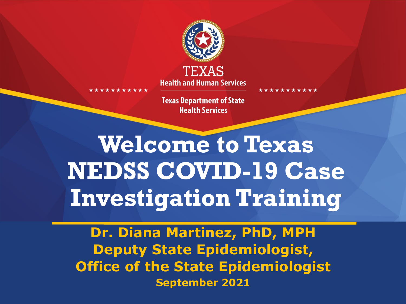

**Health and Human Services** 

**Texas Department of State Health Services** 

**Welcome to Texas NEDSS COVID-19 Case Investigation Training**

**Dr. Diana Martinez, PhD, MPH Deputy State Epidemiologist, Office of the State Epidemiologist September 2021**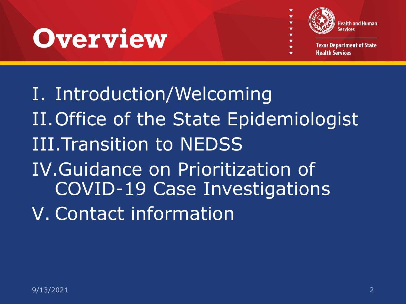## **Overview**



**Texas Department of State Health Services** 

I. Introduction/Welcoming II.Office of the State Epidemiologist III.Transition to NEDSS IV.Guidance on Prioritization of COVID-19 Case Investigations V. Contact information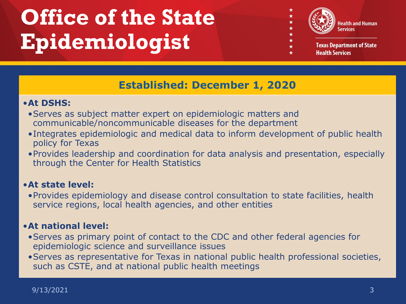## **Office of the State Epidemiologist**



**Texas Department of State Health Services** 

#### **Established: December 1, 2020**

#### •**At DSHS:**

- •Serves as subject matter expert on epidemiologic matters and communicable/noncommunicable diseases for the department
- •Integrates epidemiologic and medical data to inform development of public health policy for Texas
- •Provides leadership and coordination for data analysis and presentation, especially through the Center for Health Statistics

#### •**At state level:**

•Provides epidemiology and disease control consultation to state facilities, health service regions, local health agencies, and other entities

#### •**At national level:**

- •Serves as primary point of contact to the CDC and other federal agencies for epidemiologic science and surveillance issues
- •Serves as representative for Texas in national public health professional societies, such as CSTE, and at national public health meetings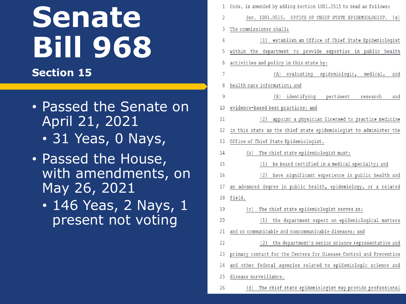## **Senate Bill 968**

#### **Section 15**

#### • Passed the Senate on April 21, 2021

- 31 Yeas, 0 Nays,
- Passed the House, with amendments, on May 26, 2021
	- 146 Yeas, 2 Nays, 1 present not voting

| 1  | Code, is amended by adding Section 1001.0515 to read as follows:   |
|----|--------------------------------------------------------------------|
| 2  | Sec. 1001.0515. OFFICE OF CHIEF STATE EPIDEMIOLOGIST. (a)          |
| 3  | The commissioner shall:                                            |
| 4  | (1) establish an Office of Chief State Epidemiologist              |
| 5  | within the department to provide expertise in public health        |
| 6  | activities and policy in this state by:                            |
| 7  | (A) evaluating epidemiologic, medical,<br>and                      |
| 8  | health care information; and                                       |
| 9  | (B) identifying pertinent<br>research<br>and                       |
| 10 | evidence-based best practices; and                                 |
| 11 | (2) appoint a physician licensed to practice medicine              |
| 12 | in this state as the chief state epidemiologist to administer the  |
| 13 | Office of Chief State Epidemiologist.                              |
| 14 | (b) The chief state epidemiologist must:                           |
| 15 | (1) be board certified in a medical specialty; and                 |
| 16 | (2)<br>have significant experience in public health and            |
| 17 | an advanced degree in public health, epidemiology, or a related    |
| 18 | field.                                                             |
| 19 | (c) The chief state epidemiologist serves as:                      |
| 20 | (1) the department expert on epidemiological matters               |
| 21 | and on communicable and noncommunicable diseases; and              |
| 22 | (2) the department's senior science representative and             |
| 23 | primary contact for the Centers for Disease Control and Prevention |
| 24 | and other federal agencies related to epidemiologic science and    |
| 25 | disease surveillance.                                              |
| 26 | The chief state epidemiologist may provide professional<br>(d)     |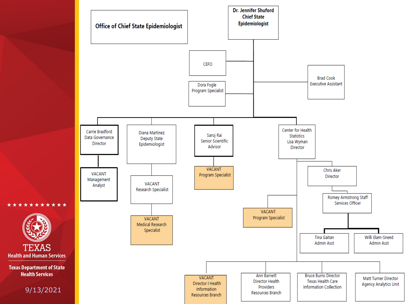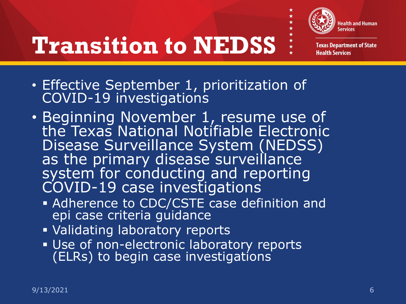

\* \* \* \*

## **Transition to NEDSS**

**Texas Department of State Health Services** 

- Effective September 1, prioritization of COVID-19 investigations
- Beginning November 1, resume use of the Texas National Notifiable Electronic Disease Surveillance System (NEDSS) as the primary disease surveillance system for conducting and reporting COVID-19 case investigations
	- **Adherence to CDC/CSTE case definition and** epi case criteria guidance
	- **Validating laboratory reports**
	- **Use of non-electronic laboratory reports** (ELRs) to begin case investigations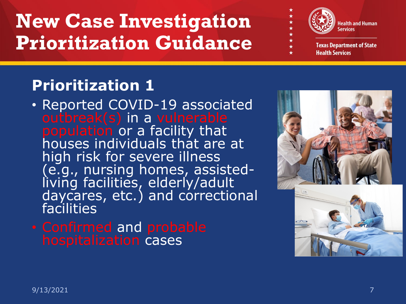

**Texas Department of State Health Services** 

#### **Prioritization 1**

- Reported COVID-19 associated outbreak(s) in a vulnerable population or a facility that houses individuals that are at high risk for severe illness (e.g., nursing homes, assisted- living facilities, elderly/adult daycares, etc.) and correctional facilities
- Confirmed and probable hospitalization cases

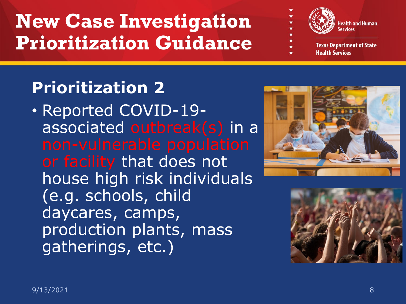

**Texas Department of State Health Services** 

### **Prioritization 2**

• Reported COVID-19 associated outbreak(s) in a or facility that does not house high risk individuals (e.g. schools, child daycares, camps, production plants, mass gatherings, etc.)



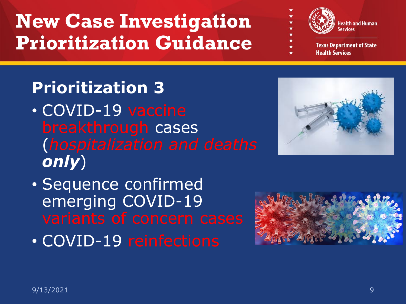

**Texas Department of State Health Services** 

### **Prioritization 3**

- COVID-19 vaccine breakthrough cases (*hospitalization and deaths only*)
- Sequence confirmed emerging COVID-19
- COVID-19 reinfections



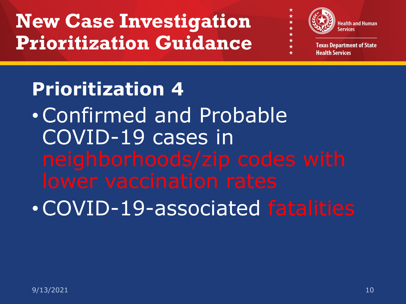

**Health Services** 

# **Prioritization 4** •Confirmed and Probable COVID-19 cases in •COVID-19-associated fatalities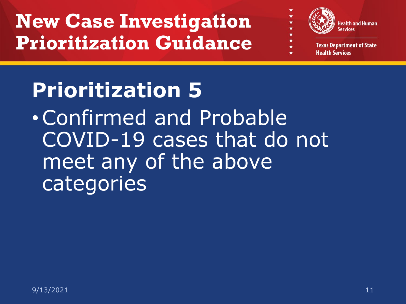

**Health Services** 

## **Prioritization 5**

•Confirmed and Probable COVID-19 cases that do not meet any of the above categories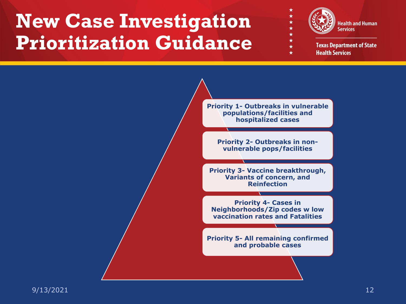

**Texas Department of State Health Services** 

**Priority 1- Outbreaks in vulnerable populations/facilities and hospitalized cases**

 $\star$ 

**Priority 2- Outbreaks in nonvulnerable pops/facilities**

**Priority 3- Vaccine breakthrough, Variants of concern, and Reinfection** 

**Priority 4- Cases in Neighborhoods/Zip codes w low vaccination rates and Fatalities**

**Priority 5- All remaining confirmed and probable cases**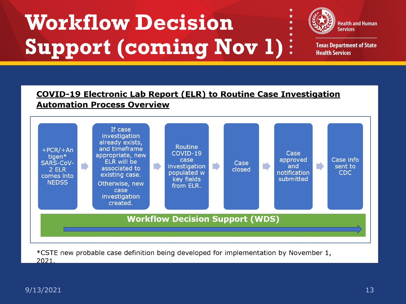## **Workflow Decision Support (coming Nov 1)**



**Texas Department of State Health Services** 

#### COVID-19 Electronic Lab Report (ELR) to Routine Case Investigation **Automation Process Overview**

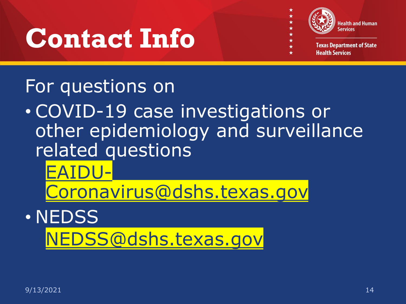## **Contact Info**



**Texas Department of State Health Services** 

### For questions on

• COVID-19 case investigations or other epidemiology and surveillance related questions

EAIDU-

[Coronavirus@dshs.texas.gov](mailto:Coronavirus-EAIDU@dshs.texas.gov)

• NEDSS [NEDSS@dshs.texas.gov](mailto:NEDSS@dshs.texas.gov)